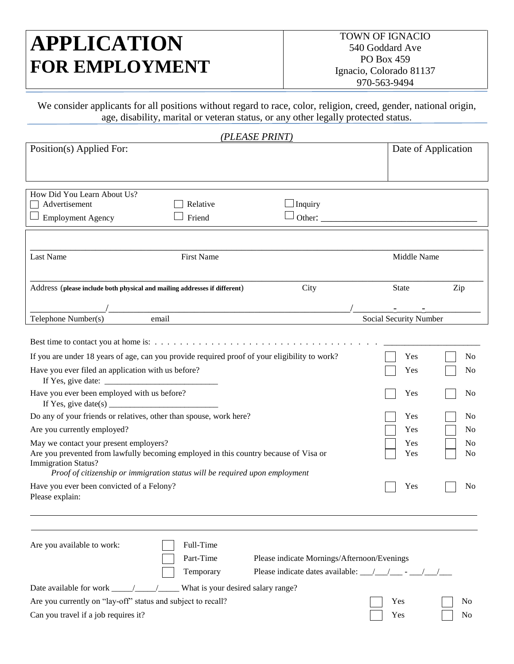# **APPLICATION FOR EMPLOYMENT**

We consider applicants for all positions without regard to race, color, religion, creed, gender, national origin, age, disability, marital or veteran status, or any other legally protected status.

| (PLEASE PRINT)                                                                                                                                                                                                                                                                                                                                                                                                                                                                                                                                                                                                                                                                                                                                                                                                           |                                               |                                                    |
|--------------------------------------------------------------------------------------------------------------------------------------------------------------------------------------------------------------------------------------------------------------------------------------------------------------------------------------------------------------------------------------------------------------------------------------------------------------------------------------------------------------------------------------------------------------------------------------------------------------------------------------------------------------------------------------------------------------------------------------------------------------------------------------------------------------------------|-----------------------------------------------|----------------------------------------------------|
| Position(s) Applied For:                                                                                                                                                                                                                                                                                                                                                                                                                                                                                                                                                                                                                                                                                                                                                                                                 | Date of Application                           |                                                    |
| How Did You Learn About Us?<br>Advertisement<br>Relative<br>$\Box$ Inquiry<br>Other:<br>Friend<br><b>Employment Agency</b>                                                                                                                                                                                                                                                                                                                                                                                                                                                                                                                                                                                                                                                                                               |                                               |                                                    |
| <b>First Name</b><br><b>Last Name</b>                                                                                                                                                                                                                                                                                                                                                                                                                                                                                                                                                                                                                                                                                                                                                                                    | Middle Name                                   |                                                    |
| City<br>Address (please include both physical and mailing addresses if different)<br>email<br>Telephone Number(s)                                                                                                                                                                                                                                                                                                                                                                                                                                                                                                                                                                                                                                                                                                        | <b>State</b><br>Social Security Number        | Zip                                                |
| If you are under 18 years of age, can you provide required proof of your eligibility to work?<br>Have you ever filed an application with us before?<br>If Yes, give date: $\frac{1}{\sqrt{1-\frac{1}{2}} \cdot \frac{1}{2}}$<br>Have you ever been employed with us before?<br>If Yes, give date(s) $\frac{1}{2}$ = $\frac{1}{2}$ = $\frac{1}{2}$ = $\frac{1}{2}$ = $\frac{1}{2}$ = $\frac{1}{2}$ = $\frac{1}{2}$ = $\frac{1}{2}$ = $\frac{1}{2}$ = $\frac{1}{2}$ = $\frac{1}{2}$ = $\frac{1}{2}$ = $\frac{1}{2}$ = $\frac{1}{2}$ = $\frac{1}{2}$ = $\frac{1}{2}$ = $\frac{1}{2}$<br>Do any of your friends or relatives, other than spouse, work here?<br>Are you currently employed?<br>May we contact your present employers?<br>Are you prevented from lawfully becoming employed in this country because of Visa or | Yes<br>Yes<br>Yes<br>Yes<br>Yes<br>Yes<br>Yes | No<br>No<br>No<br>N <sub>0</sub><br>No<br>No<br>No |
| <b>Immigration Status?</b><br>Proof of citizenship or immigration status will be required upon employment<br>Have you ever been convicted of a Felony?<br>Please explain:<br>Full-Time<br>Are you available to work:<br>Part-Time<br>Please indicate Mornings/Afternoon/Evenings                                                                                                                                                                                                                                                                                                                                                                                                                                                                                                                                         | Yes                                           | N <sub>0</sub>                                     |

| <i>l</i> emporary |
|-------------------|
|                   |

Please indicate dates available:  $\frac{\sqrt{2}}{2}$  -  $\frac{\sqrt{2}}{2}$ 

| Date available for work |  | What is your desired salary range? |
|-------------------------|--|------------------------------------|

Are you currently on "lay-off" status and subject to recall? Yes No

Can you travel if a job requires it? No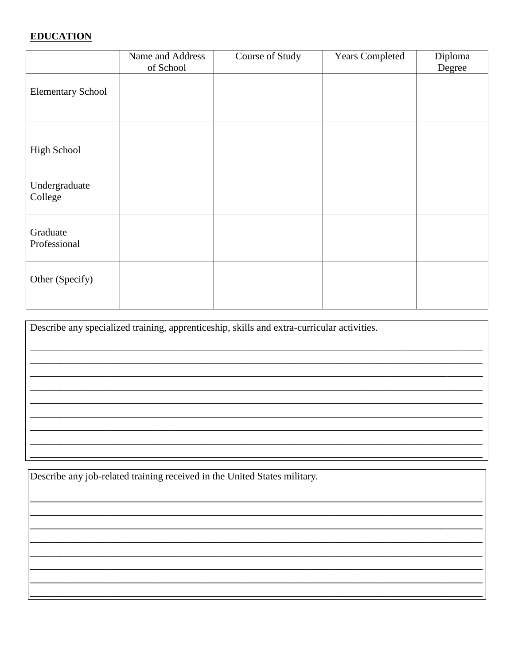#### **EDUCATION**

|                          | Name and Address | Course of Study | <b>Years Completed</b> | Diploma |
|--------------------------|------------------|-----------------|------------------------|---------|
|                          | of School        |                 |                        | Degree  |
| <b>Elementary School</b> |                  |                 |                        |         |
|                          |                  |                 |                        |         |
| <b>High School</b>       |                  |                 |                        |         |
| Undergraduate<br>College |                  |                 |                        |         |
| Graduate<br>Professional |                  |                 |                        |         |
| Other (Specify)          |                  |                 |                        |         |

Describe any specialized training, apprenticeship, skills and extra-curricular activities.

Describe any job-related training received in the United States military.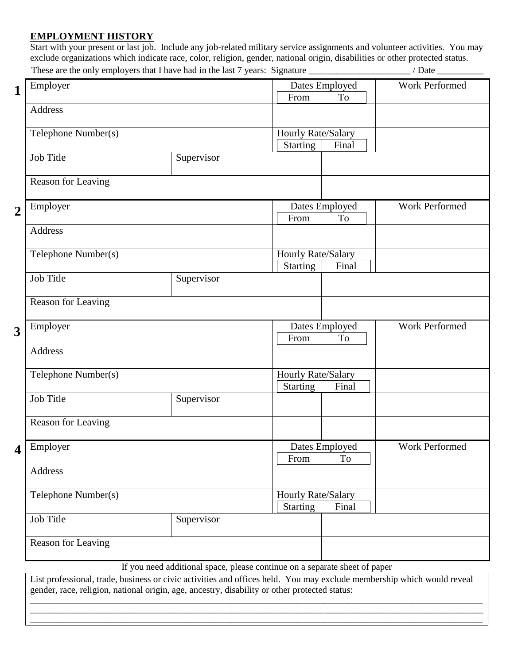#### **EMPLOYMENT HISTORY**

Start with your present or last job. Include any job-related military service assignments and volunteer activities. You may exclude organizations which indicate race, color, religion, gender, national origin, disabilities or other protected status. These are the only employers that I have had in the last 7 years: Signature / Date / Date

| Employer                |            |                                       | Dates Employed       | Work Performed |
|-------------------------|------------|---------------------------------------|----------------------|----------------|
| Address                 |            | From                                  | <b>To</b>            |                |
| Telephone Number(s)     |            | Hourly Rate/Salary                    |                      |                |
| <b>Job Title</b>        | Supervisor | <b>Starting</b>                       | Final                |                |
| Reason for Leaving      |            |                                       |                      |                |
| Employer                |            | From                                  | Dates Employed<br>To | Work Performed |
| Address                 |            |                                       |                      |                |
| Telephone Number(s)     |            | Hourly Rate/Salary<br><b>Starting</b> | Final                |                |
| <b>Job Title</b>        | Supervisor |                                       |                      |                |
| Reason for Leaving      |            |                                       |                      |                |
| Employer                |            | From                                  | Dates Employed<br>To | Work Performed |
| Address                 |            |                                       |                      |                |
| Telephone Number(s)     |            | Hourly Rate/Salary<br><b>Starting</b> | Final                |                |
| <b>Job Title</b>        | Supervisor |                                       |                      |                |
| Reason for Leaving      |            |                                       |                      |                |
| $\overline{4}$ Employer |            | From                                  | Dates Employed<br>To | Work Performed |
| Address                 |            |                                       |                      |                |
| Telephone Number(s)     |            | Hourly Rate/Salary<br><b>Starting</b> | Final                |                |
| <b>Job Title</b>        | Supervisor |                                       |                      |                |
| Reason for Leaving      |            |                                       |                      |                |
|                         |            |                                       |                      |                |

\_\_\_\_\_\_\_\_\_\_\_\_\_\_\_\_\_\_\_\_\_\_\_\_\_\_\_\_\_\_\_\_\_\_\_\_\_\_\_\_\_\_\_\_\_\_\_\_\_\_\_\_\_\_\_\_\_\_\_\_\_\_\_\_\_\_\_\_\_\_\_\_\_\_\_\_\_\_\_\_\_\_\_\_\_\_\_\_\_\_\_\_\_\_\_\_\_\_\_\_\_\_\_\_\_\_\_\_ \_\_\_\_\_\_\_\_\_\_\_\_\_\_\_\_\_\_\_\_\_\_\_\_\_\_\_\_\_\_\_\_\_\_\_\_\_\_\_\_\_\_\_\_\_\_\_\_\_\_\_\_\_\_\_\_\_\_\_\_\_\_\_\_\_\_\_\_\_\_\_\_\_\_\_\_\_\_\_\_\_\_\_\_\_\_\_\_\_\_\_\_\_\_\_\_\_\_\_\_\_\_\_\_\_\_\_\_ \_\_\_\_\_\_\_\_\_\_\_\_\_\_\_\_\_\_\_\_\_\_\_\_\_\_\_\_\_\_\_\_\_\_\_\_\_\_\_\_\_\_\_\_\_\_\_\_\_\_\_\_\_\_\_\_\_\_\_\_\_\_\_\_\_\_\_\_\_\_\_\_\_\_\_\_\_\_\_\_\_\_\_\_\_\_\_\_\_\_\_\_\_\_\_\_\_\_\_\_\_\_\_\_\_\_\_\_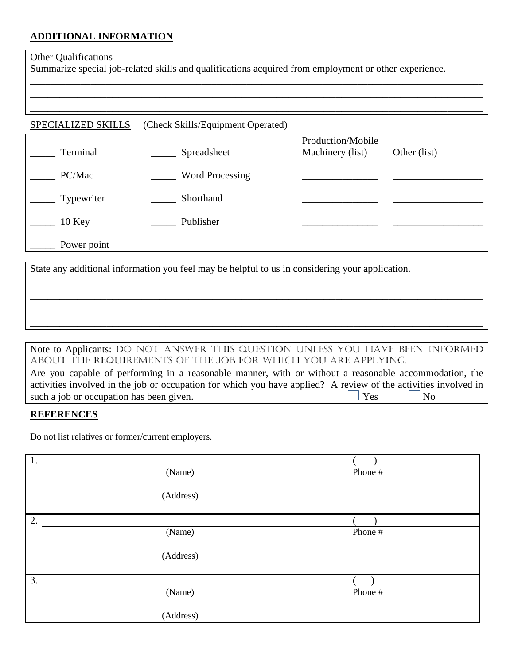#### **ADDITIONAL INFORMATION**

#### **Other Qualifications**

Summarize special job-related skills and qualifications acquired from employment or other experience.

\_\_\_\_\_\_\_\_\_\_\_\_\_\_\_\_\_\_\_\_\_\_\_\_\_\_\_\_\_\_\_\_\_\_\_\_\_\_\_\_\_\_\_\_\_\_\_\_\_\_\_\_\_\_\_\_\_\_\_\_\_\_\_\_\_\_\_\_\_\_\_\_\_\_\_\_\_\_\_\_\_\_\_\_\_\_\_\_\_\_ \_\_\_\_\_\_\_\_\_\_\_\_\_\_\_\_\_\_\_\_\_\_\_\_\_\_\_\_\_\_\_\_\_\_\_\_\_\_\_\_\_\_\_\_\_\_\_\_\_\_\_\_\_\_\_\_\_\_\_\_\_\_\_\_\_\_\_\_\_\_\_\_\_\_\_\_\_ \_\_\_\_\_\_\_\_\_\_\_\_\_\_\_\_\_\_\_\_\_\_\_\_\_\_\_\_\_\_\_\_\_\_\_\_\_\_\_\_\_\_\_\_\_\_\_\_\_\_\_\_\_\_\_\_\_\_\_\_\_\_\_\_\_\_\_\_\_\_\_\_\_\_\_\_\_

#### SPECIALIZED SKILLS (Check Skills/Equipment Operated)

| Terminal            | Spreadsheet            | Production/Mobile<br>Machinery (list) | Other (list) |
|---------------------|------------------------|---------------------------------------|--------------|
| PC/Mac              | <b>Word Processing</b> |                                       |              |
| $\equiv$ Typewriter | Shorthand              |                                       |              |
| $10$ Key            | Publisher              |                                       |              |
| Power point         |                        |                                       |              |

State any additional information you feel may be helpful to us in considering your application.

#### Note to Applicants: DO NOT ANSWER THIS QUESTION UNLESS YOU HAVE BEEN INFORMED ABOUT THE REQUIREMENTS OF THE JOB FOR WHICH YOU ARE APPLYING.

\_\_\_\_\_\_\_\_\_\_\_\_\_\_\_\_\_\_\_\_\_\_\_\_\_\_\_\_\_\_\_\_\_\_\_\_\_\_\_\_\_\_\_\_\_\_\_\_\_\_\_\_\_\_\_\_\_\_\_\_\_\_\_\_\_\_\_\_\_\_\_\_\_\_\_\_\_ \_\_\_\_\_\_\_\_\_\_\_\_\_\_\_\_\_\_\_\_\_\_\_\_\_\_\_\_\_\_\_\_\_\_\_\_\_\_\_\_\_\_\_\_\_\_\_\_\_\_\_\_\_\_\_\_\_\_\_\_\_\_\_\_\_\_\_\_\_\_\_\_\_\_\_\_\_ \_\_\_\_\_\_\_\_\_\_\_\_\_\_\_\_\_\_\_\_\_\_\_\_\_\_\_\_\_\_\_\_\_\_\_\_\_\_\_\_\_\_\_\_\_\_\_\_\_\_\_\_\_\_\_\_\_\_\_\_\_\_\_\_\_\_\_\_\_\_\_\_\_\_\_\_\_ \_\_\_\_\_\_\_\_\_\_\_\_\_\_\_\_\_\_\_\_\_\_\_\_\_\_\_\_\_\_\_\_\_\_\_\_\_\_\_\_\_\_\_\_\_\_\_\_\_\_\_\_\_\_\_\_\_\_\_\_\_\_\_\_\_\_\_\_\_\_\_\_\_\_\_\_\_

| Are you capable of performing in a reasonable manner, with or without a reasonable accommodation, the           |             |                    |
|-----------------------------------------------------------------------------------------------------------------|-------------|--------------------|
| activities involved in the job or occupation for which you have applied? A review of the activities involved in |             |                    |
| such a job or occupation has been given.                                                                        | $\vert$ Yes | $\overline{N_{0}}$ |

#### **REFERENCES**

Do not list relatives or former/current employers.

| 1. |           |         |
|----|-----------|---------|
|    | (Name)    | Phone # |
|    |           |         |
|    | (Address) |         |
|    |           |         |
| 2. |           |         |
|    | (Name)    | Phone # |
|    |           |         |
|    | (Address) |         |
|    |           |         |
| 3. |           |         |
|    | (Name)    | Phone # |
|    |           |         |
|    | (Address) |         |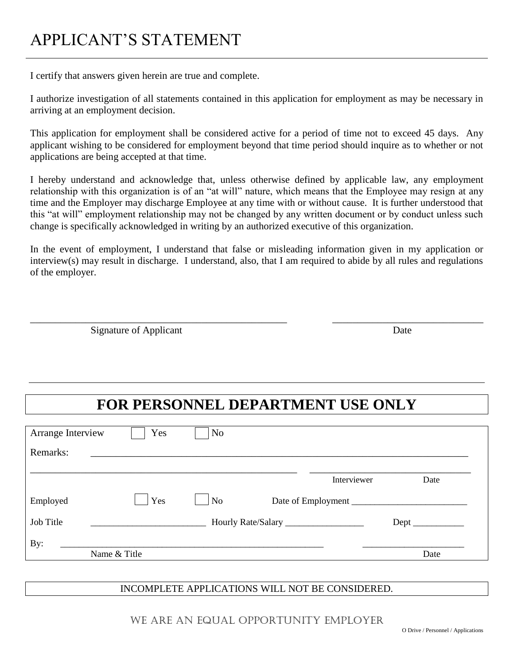## APPLICANT'S STATEMENT

I certify that answers given herein are true and complete.

I authorize investigation of all statements contained in this application for employment as may be necessary in arriving at an employment decision.

This application for employment shall be considered active for a period of time not to exceed 45 days. Any applicant wishing to be considered for employment beyond that time period should inquire as to whether or not applications are being accepted at that time.

I hereby understand and acknowledge that, unless otherwise defined by applicable law, any employment relationship with this organization is of an "at will" nature, which means that the Employee may resign at any time and the Employer may discharge Employee at any time with or without cause. It is further understood that this "at will" employment relationship may not be changed by any written document or by conduct unless such change is specifically acknowledged in writing by an authorized executive of this organization.

In the event of employment, I understand that false or misleading information given in my application or interview(s) may result in discharge. I understand, also, that I am required to abide by all rules and regulations of the employer.

\_\_\_\_\_\_\_\_\_\_\_\_\_\_\_\_\_\_\_\_\_\_\_\_\_\_\_\_\_\_\_\_\_\_\_\_\_\_\_\_\_\_\_\_\_\_\_\_\_\_\_ \_\_\_\_\_\_\_\_\_\_\_\_\_\_\_\_\_\_\_\_\_\_\_\_\_\_\_\_\_\_

Signature of Applicant Date

### **FOR PERSONNEL DEPARTMENT USE ONLY**

| Arrange Interview | Yes          | No             |                    |      |
|-------------------|--------------|----------------|--------------------|------|
| Remarks:          |              |                |                    |      |
|                   |              |                | Interviewer        | Date |
| Employed          | Yes          | N <sub>o</sub> | Date of Employment |      |
| Job Title         |              |                |                    |      |
| By:               |              |                |                    |      |
|                   | Name & Title |                |                    | Date |

#### INCOMPLETE APPLICATIONS WILL NOT BE CONSIDERED.

WE ARE AN EQUAL OPPORTUNITY EMPLOYER